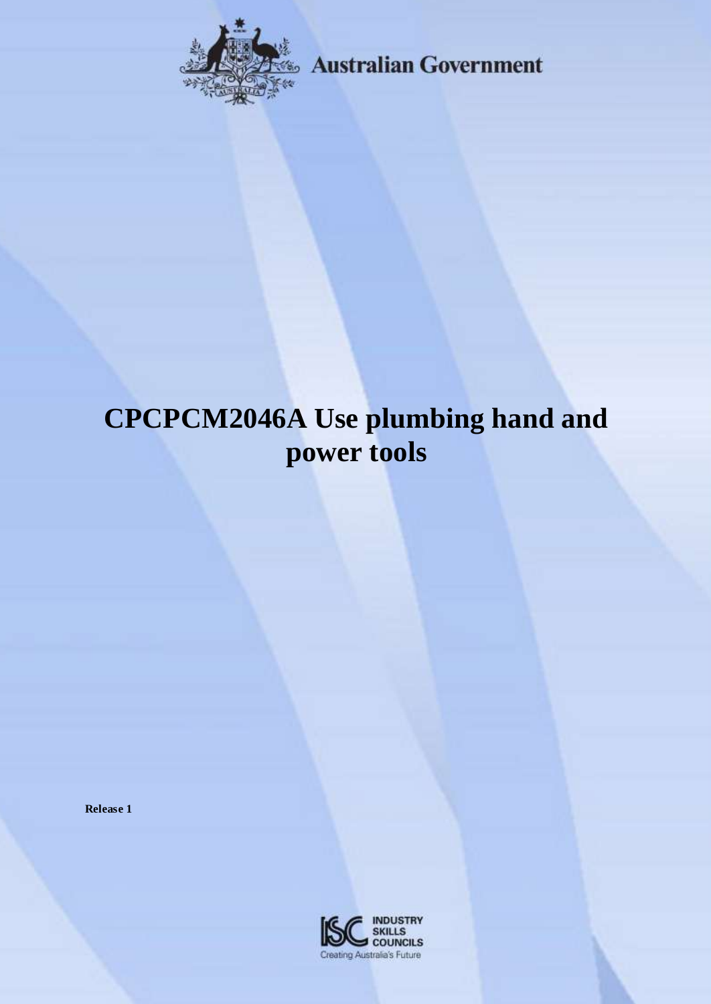

**Example 3 Australian Government** 

# **CPCPCM2046A Use plumbing hand and power tools**

**Release 1**

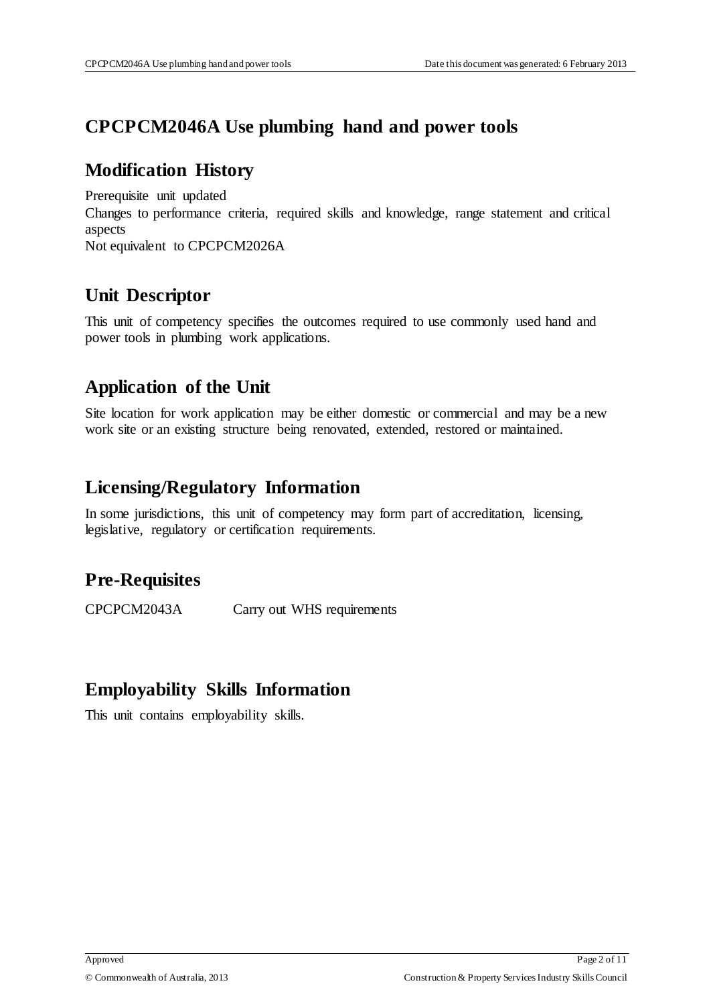### **CPCPCM2046A Use plumbing hand and power tools**

#### **Modification History**

Prerequisite unit updated Changes to performance criteria, required skills and knowledge, range statement and critical aspects Not equivalent to CPCPCM2026A

## **Unit Descriptor**

This unit of competency specifies the outcomes required to use commonly used hand and power tools in plumbing work applications.

#### **Application of the Unit**

Site location for work application may be either domestic or commercial and may be a new work site or an existing structure being renovated, extended, restored or maintained.

#### **Licensing/Regulatory Information**

In some jurisdictions, this unit of competency may form part of accreditation, licensing, legislative, regulatory or certification requirements.

# **Pre-Requisites**

CPCPCM2043A Carry out WHS requirements

### **Employability Skills Information**

This unit contains employability skills.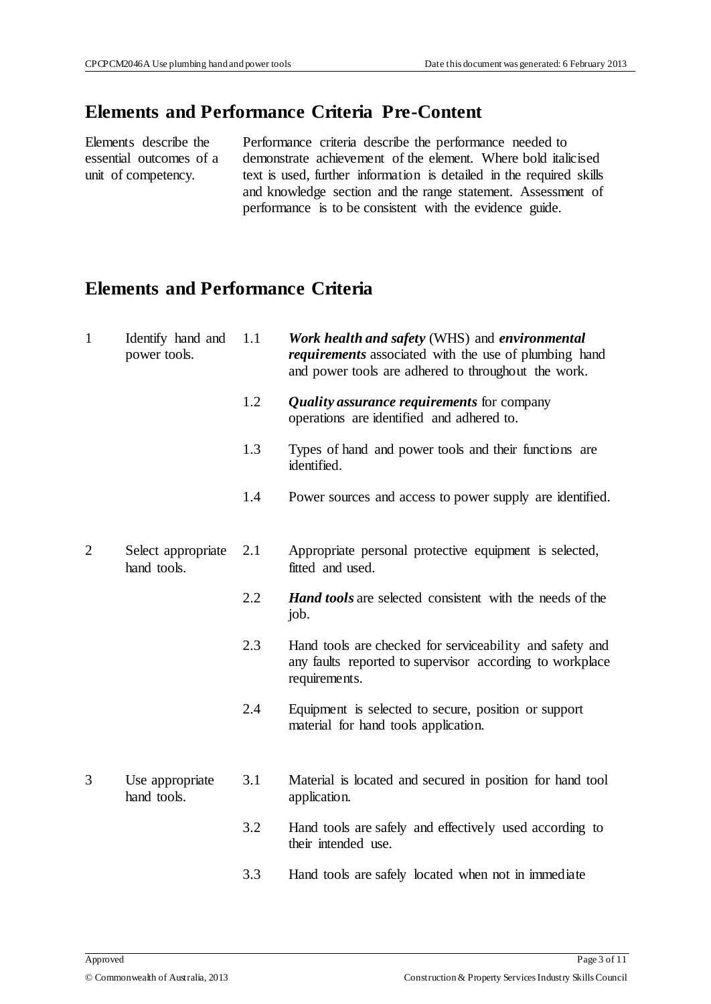#### **Elements and Performance Criteria Pre-Content**

Elements describe the essential outcomes of a unit of competency.

Performance criteria describe the performance needed to demonstrate achievement of the element. Where bold italicised text is used, further information is detailed in the required skills and knowledge section and the range statement. Assessment of performance is to be consistent with the evidence guide.

# **Elements and Performance Criteria**

| $\mathbf{1}$   | Identify hand and<br>power tools. | 1.1 | Work health and safety (WHS) and environmental<br><i>requirements</i> associated with the use of plumbing hand<br>and power tools are adhered to throughout the work. |
|----------------|-----------------------------------|-----|-----------------------------------------------------------------------------------------------------------------------------------------------------------------------|
|                |                                   | 1.2 | <b>Quality assurance requirements for company</b><br>operations are identified and adhered to.                                                                        |
|                |                                   | 1.3 | Types of hand and power tools and their functions are<br>identified.                                                                                                  |
|                |                                   | 1.4 | Power sources and access to power supply are identified.                                                                                                              |
| $\overline{2}$ | Select appropriate<br>hand tools. | 2.1 | Appropriate personal protective equipment is selected,<br>fitted and used.                                                                                            |
|                |                                   | 2.2 | <b>Hand tools</b> are selected consistent with the needs of the<br>job.                                                                                               |
|                |                                   | 2.3 | Hand tools are checked for serviceability and safety and<br>any faults reported to supervisor according to workplace<br>requirements.                                 |
|                |                                   | 2.4 | Equipment is selected to secure, position or support<br>material for hand tools application.                                                                          |
| 3              | Use appropriate<br>hand tools.    | 3.1 | Material is located and secured in position for hand tool<br>application.                                                                                             |
|                |                                   | 3.2 | Hand tools are safely and effectively used according to<br>their intended use.                                                                                        |
|                |                                   | 3.3 | Hand tools are safely located when not in immediate                                                                                                                   |
|                |                                   |     |                                                                                                                                                                       |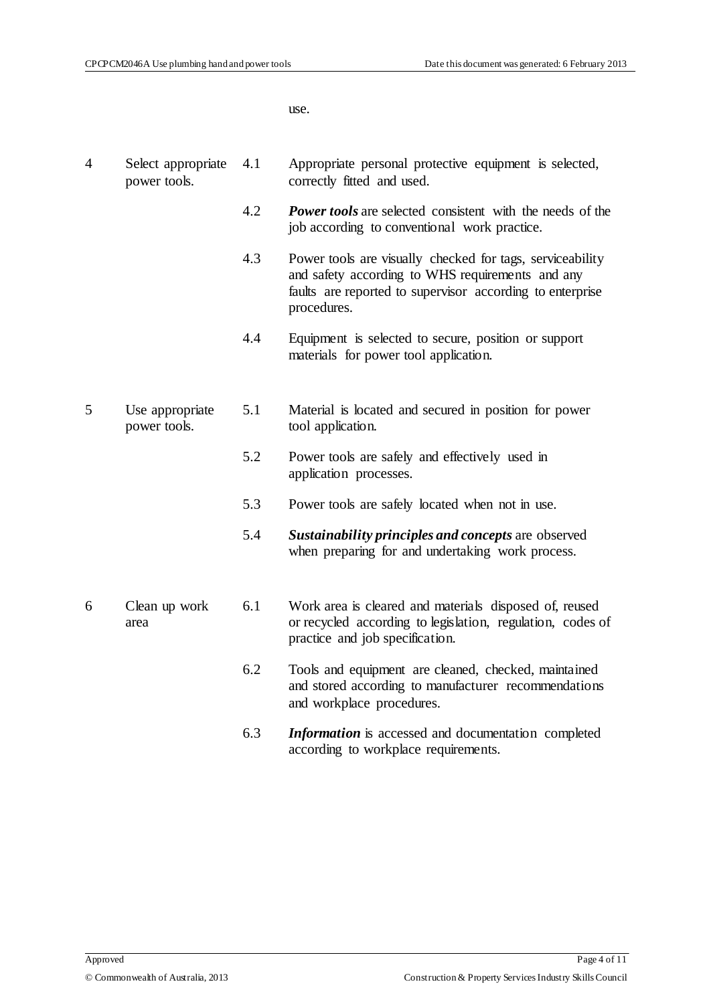4 Select appropriate

4.1 Appropriate personal protective equipment is selected,

use.

|   | power tools.                    |     | correctly fitted and used.                                                                                                                                                                |
|---|---------------------------------|-----|-------------------------------------------------------------------------------------------------------------------------------------------------------------------------------------------|
|   |                                 | 4.2 | <b>Power tools</b> are selected consistent with the needs of the<br>job according to conventional work practice.                                                                          |
|   |                                 | 4.3 | Power tools are visually checked for tags, serviceability<br>and safety according to WHS requirements and any<br>faults are reported to supervisor according to enterprise<br>procedures. |
|   |                                 | 4.4 | Equipment is selected to secure, position or support<br>materials for power tool application.                                                                                             |
| 5 | Use appropriate<br>power tools. | 5.1 | Material is located and secured in position for power<br>tool application.                                                                                                                |
|   |                                 | 5.2 | Power tools are safely and effectively used in<br>application processes.                                                                                                                  |
|   |                                 | 5.3 | Power tools are safely located when not in use.                                                                                                                                           |
|   |                                 | 5.4 | Sustainability principles and concepts are observed<br>when preparing for and undertaking work process.                                                                                   |
| 6 | Clean up work<br>area           | 6.1 | Work area is cleared and materials disposed of, reused<br>or recycled according to legislation, regulation, codes of<br>practice and job specification.                                   |
|   |                                 | 6.2 | Tools and equipment are cleaned, checked, maintained<br>and stored according to manufacturer recommendations<br>and workplace procedures.                                                 |
|   |                                 | 6.3 | <b>Information</b> is accessed and documentation completed<br>according to workplace requirements.                                                                                        |
|   |                                 |     |                                                                                                                                                                                           |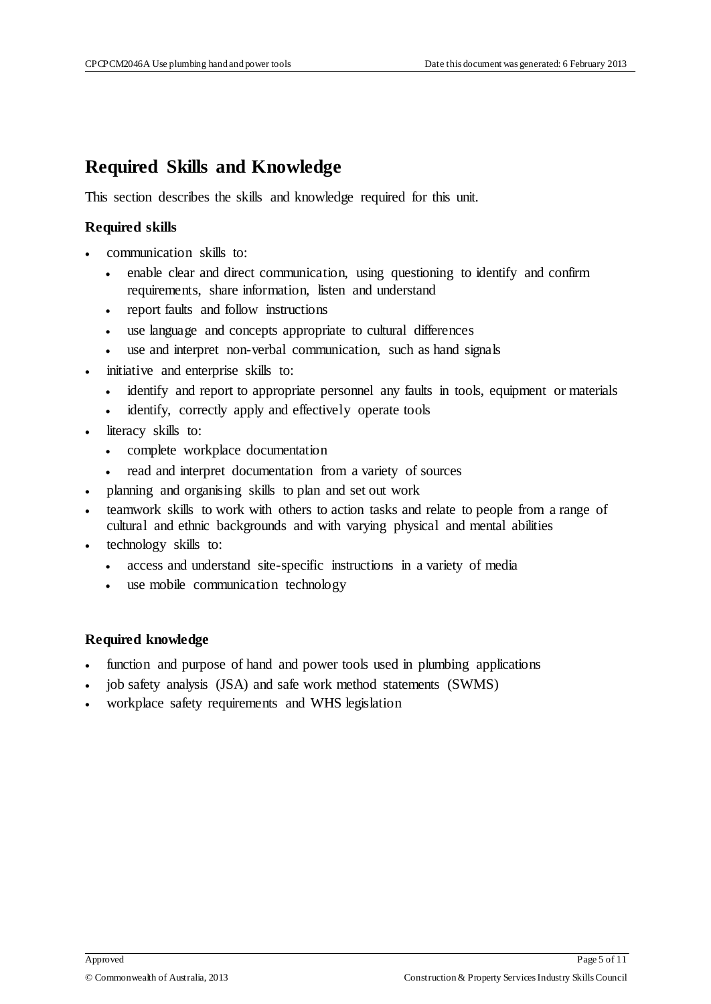#### **Required Skills and Knowledge**

This section describes the skills and knowledge required for this unit.

#### **Required skills**

- communication skills to:
	- enable clear and direct communication, using questioning to identify and confirm requirements, share information, listen and understand
	- report faults and follow instructions
	- use language and concepts appropriate to cultural differences
	- use and interpret non-verbal communication, such as hand signals
- initiative and enterprise skills to:
	- identify and report to appropriate personnel any faults in tools, equipment or materials
	- identify, correctly apply and effectively operate tools
- literacy skills to:
	- complete workplace documentation
	- read and interpret documentation from a variety of sources
- planning and organising skills to plan and set out work
- teamwork skills to work with others to action tasks and relate to people from a range of cultural and ethnic backgrounds and with varying physical and mental abilities
- technology skills to:
	- access and understand site-specific instructions in a variety of media
	- use mobile communication technology

#### **Required knowledge**

- function and purpose of hand and power tools used in plumbing applications
- job safety analysis (JSA) and safe work method statements (SWMS)
- workplace safety requirements and WHS legislation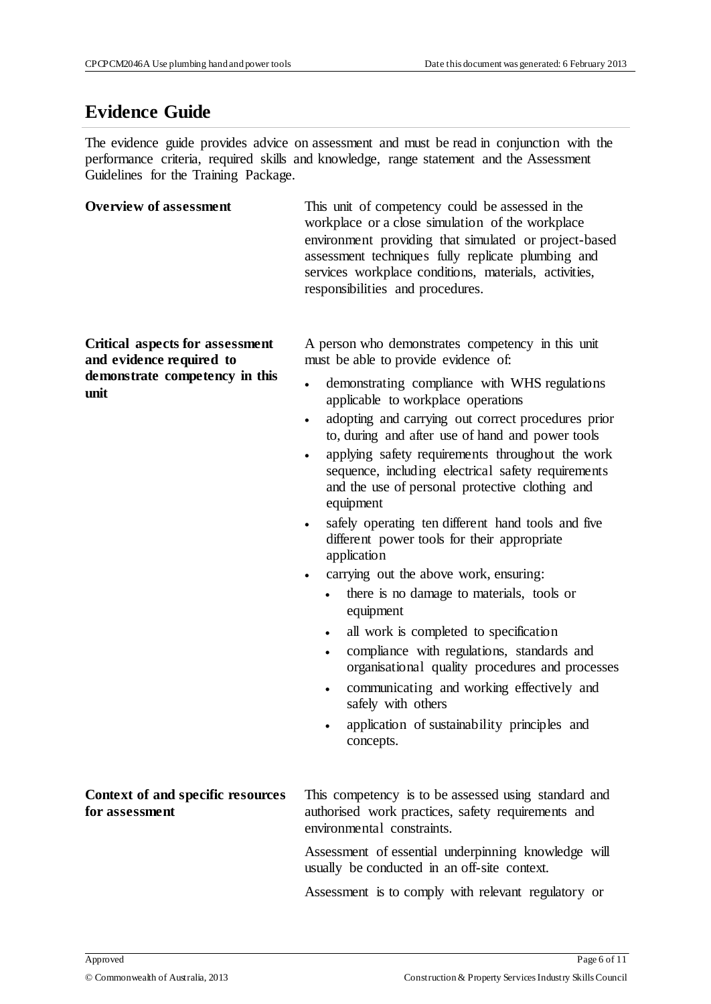### **Evidence Guide**

The evidence guide provides advice on assessment and must be read in conjunction with the performance criteria, required skills and knowledge, range statement and the Assessment Guidelines for the Training Package.

| <b>Overview of assessment</b>                                                                                | This unit of competency could be assessed in the<br>workplace or a close simulation of the workplace<br>environment providing that simulated or project-based<br>assessment techniques fully replicate plumbing and<br>services workplace conditions, materials, activities,<br>responsibilities and procedures.                                                                                                                                                                                                                                                                                                                                                                                                                                                                                                                                                                                                                                                                                                                         |
|--------------------------------------------------------------------------------------------------------------|------------------------------------------------------------------------------------------------------------------------------------------------------------------------------------------------------------------------------------------------------------------------------------------------------------------------------------------------------------------------------------------------------------------------------------------------------------------------------------------------------------------------------------------------------------------------------------------------------------------------------------------------------------------------------------------------------------------------------------------------------------------------------------------------------------------------------------------------------------------------------------------------------------------------------------------------------------------------------------------------------------------------------------------|
| <b>Critical aspects for assessment</b><br>and evidence required to<br>demonstrate competency in this<br>unit | A person who demonstrates competency in this unit<br>must be able to provide evidence of:<br>demonstrating compliance with WHS regulations<br>$\bullet$<br>applicable to workplace operations<br>adopting and carrying out correct procedures prior<br>$\bullet$<br>to, during and after use of hand and power tools<br>applying safety requirements throughout the work<br>sequence, including electrical safety requirements<br>and the use of personal protective clothing and<br>equipment<br>safely operating ten different hand tools and five<br>different power tools for their appropriate<br>application<br>carrying out the above work, ensuring:<br>there is no damage to materials, tools or<br>equipment<br>all work is completed to specification<br>$\bullet$<br>compliance with regulations, standards and<br>$\bullet$<br>organisational quality procedures and processes<br>communicating and working effectively and<br>$\bullet$<br>safely with others<br>application of sustainability principles and<br>concepts. |
| Context of and specific resources<br>for assessment                                                          | This competency is to be assessed using standard and<br>authorised work practices, safety requirements and<br>environmental constraints.<br>Assessment of essential underpinning knowledge will<br>usually be conducted in an off-site context.<br>Assessment is to comply with relevant regulatory or                                                                                                                                                                                                                                                                                                                                                                                                                                                                                                                                                                                                                                                                                                                                   |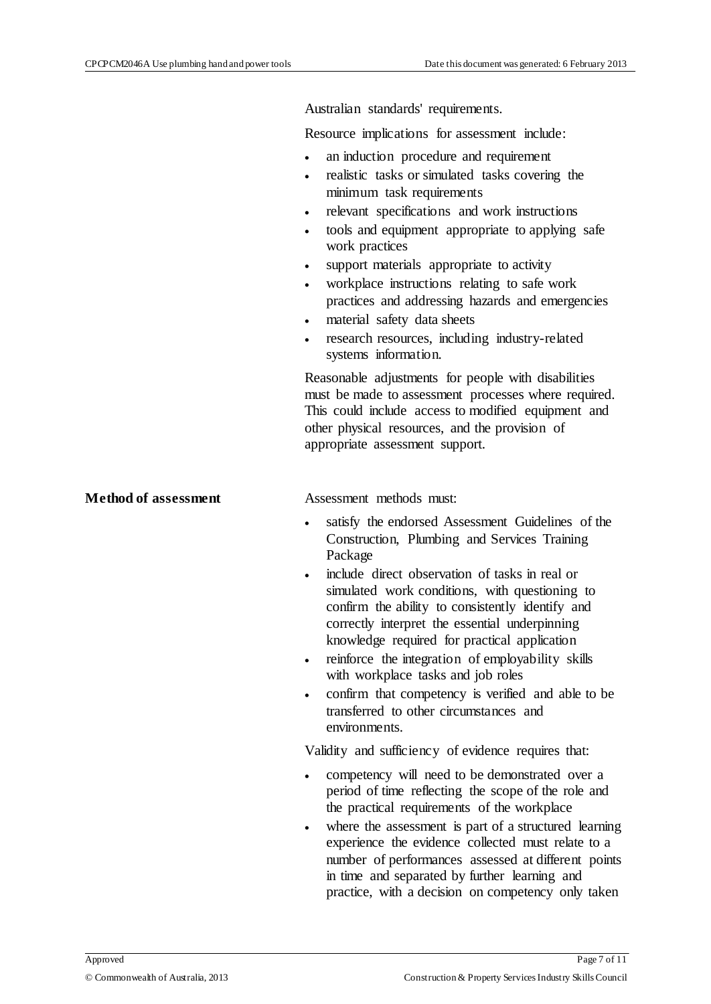Australian standards' requirements.

Resource implications for assessment include:

- an induction procedure and requirement
- realistic tasks or simulated tasks covering the minimum task requirements
- relevant specifications and work instructions
- tools and equipment appropriate to applying safe work practices
- support materials appropriate to activity
- workplace instructions relating to safe work practices and addressing hazards and emergencies
- material safety data sheets
- research resources, including industry-related systems information.

Reasonable adjustments for people with disabilities must be made to assessment processes where required. This could include access to modified equipment and other physical resources, and the provision of appropriate assessment support.

**Method of assessment** Assessment methods must:

- satisfy the endorsed Assessment Guidelines of the Construction, Plumbing and Services Training Package
- include direct observation of tasks in real or simulated work conditions, with questioning to confirm the ability to consistently identify and correctly interpret the essential underpinning knowledge required for practical application
- reinforce the integration of employability skills with workplace tasks and job roles
- confirm that competency is verified and able to be transferred to other circumstances and environments.

Validity and sufficiency of evidence requires that:

- competency will need to be demonstrated over a period of time reflecting the scope of the role and the practical requirements of the workplace
- where the assessment is part of a structured learning experience the evidence collected must relate to a number of performances assessed at different points in time and separated by further learning and practice, with a decision on competency only taken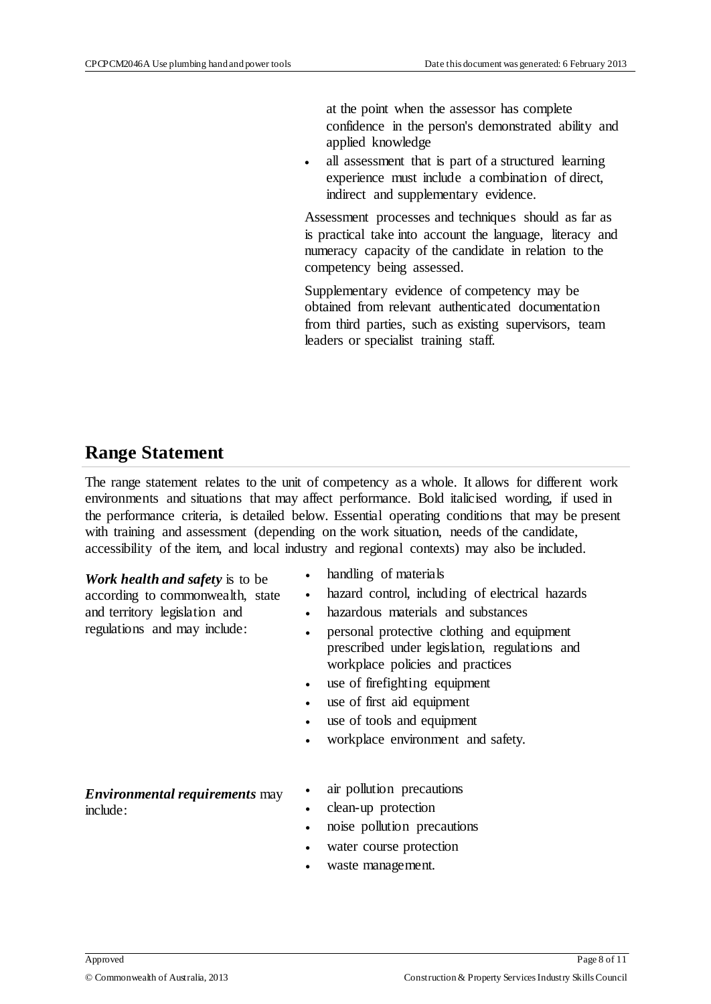at the point when the assessor has complete confidence in the person's demonstrated ability and applied knowledge

 all assessment that is part of a structured learning experience must include a combination of direct, indirect and supplementary evidence.

Assessment processes and techniques should as far as is practical take into account the language, literacy and numeracy capacity of the candidate in relation to the competency being assessed.

Supplementary evidence of competency may be obtained from relevant authenticated documentation from third parties, such as existing supervisors, team leaders or specialist training staff.

#### **Range Statement**

The range statement relates to the unit of competency as a whole. It allows for different work environments and situations that may affect performance. Bold italicised wording, if used in the performance criteria, is detailed below. Essential operating conditions that may be present with training and assessment (depending on the work situation, needs of the candidate, accessibility of the item, and local industry and regional contexts) may also be included.

*Work health and safety* is to be according to commonwealth, state and territory legislation and regulations and may include:

- handling of materials
- hazard control, including of electrical hazards
- hazardous materials and substances
- personal protective clothing and equipment prescribed under legislation, regulations and workplace policies and practices
- use of firefighting equipment
- use of first aid equipment
- use of tools and equipment
- workplace environment and safety.

*Environmental requirements* may include:

- air pollution precautions
- clean-up protection
- noise pollution precautions
- water course protection
- waste management.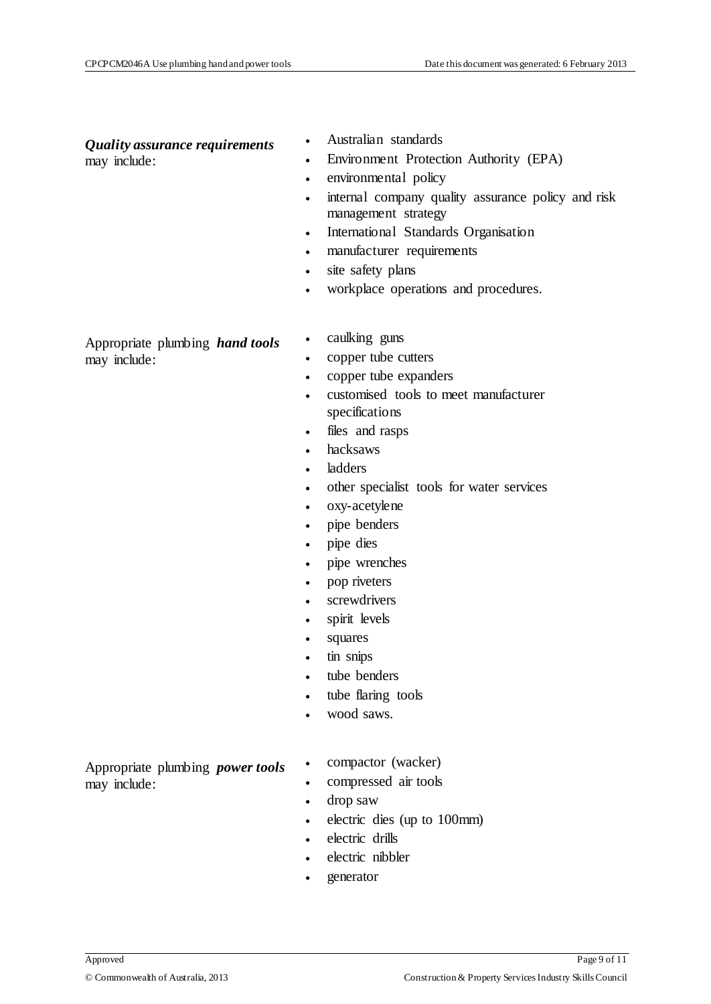# *Quality assurance requirements*

may include:

- Australian standards
- Environment Protection Authority (EPA)
- environmental policy
- internal company quality assurance policy and risk management strategy
- International Standards Organisation
- manufacturer requirements
- site safety plans
- workplace operations and procedures.

Appropriate plumbing *hand tools* may include:

- caulking guns
- copper tube cutters
- copper tube expanders
- customised tools to meet manufacturer specifications
- files and rasps
- hacksaws
- ladders
- other specialist tools for water services
- oxy-acetylene
- pipe benders
- pipe dies
- pipe wrenches
- pop riveters
- screwdrivers
- spirit levels
- squares
- tin snips
- tube benders
- tube flaring tools
- wood saws.

Appropriate plumbing *power tools* may include:

- compactor (wacker)
- compressed air tools
- drop saw
- electric dies (up to 100mm)
- electric drills
- electric nibbler
- generator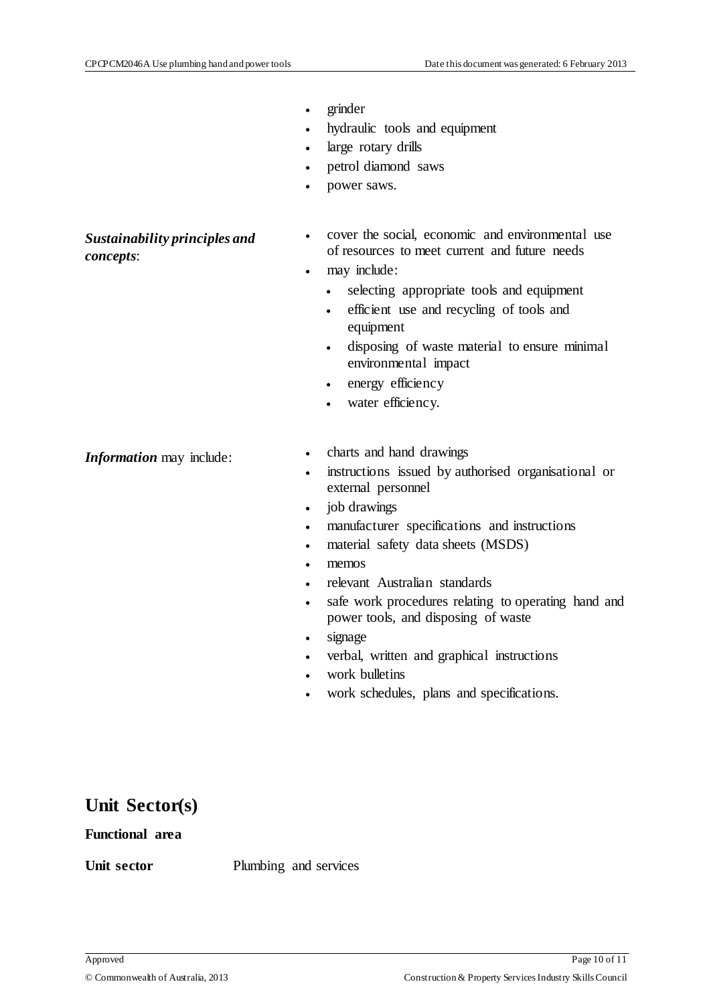- grinder
- hydraulic tools and equipment
- large rotary drills
- petrol diamond saws
- power saws.

*Sustainability principles and concepts*:

- cover the social, economic and environmental use of resources to meet current and future needs
- may include:
	- selecting appropriate tools and equipment
	- efficient use and recycling of tools and equipment
	- disposing of waste material to ensure minimal environmental impact
	- energy efficiency
	- water efficiency.

- *Information* may include: <br>
charts and hand drawings
	- instructions issued by authorised organisational or external personnel
	- job drawings
	- manufacturer specifications and instructions
	- material safety data sheets (MSDS)
	- memos
	- relevant Australian standards
	- safe work procedures relating to operating hand and power tools, and disposing of waste
	- signage
	- verbal, written and graphical instructions
	- work bulletins
	- work schedules, plans and specifications.

#### **Unit Sector(s)**

#### **Functional area**

**Unit sector** Plumbing and services